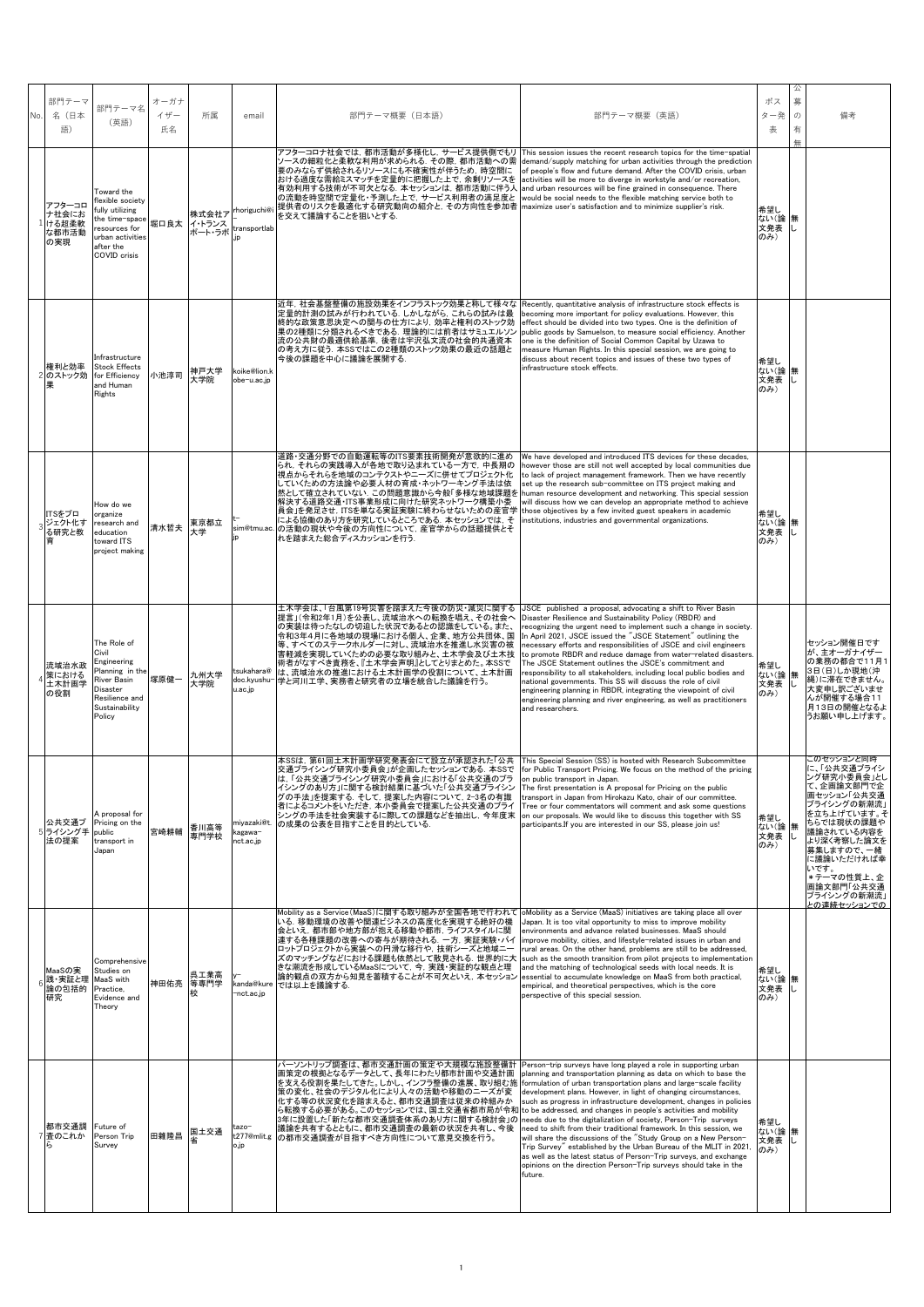| No. | 部門テーマ<br>名 (日本<br>語)                     | 部門テーマ名<br>(英語)                                                                                                                              | オーガナ<br>イザー<br>氏名 | 所属                        | email                                           | 部門テーマ概要(日本語)                                                                                                                                                                                                                                                                                                                                                                                                                                                                                                                | 部門テーマ概要 (英語)                                                                                                                                                                                                                                                                                                                                                                                                                                                                                                                                                                                                                                                                                                                                                               | ボス<br>ター発<br>表            | 么<br>募<br>$\sigma$<br>有<br>無 | 備考                                                                                                                                                                                                                                                       |
|-----|------------------------------------------|---------------------------------------------------------------------------------------------------------------------------------------------|-------------------|---------------------------|-------------------------------------------------|-----------------------------------------------------------------------------------------------------------------------------------------------------------------------------------------------------------------------------------------------------------------------------------------------------------------------------------------------------------------------------------------------------------------------------------------------------------------------------------------------------------------------------|----------------------------------------------------------------------------------------------------------------------------------------------------------------------------------------------------------------------------------------------------------------------------------------------------------------------------------------------------------------------------------------------------------------------------------------------------------------------------------------------------------------------------------------------------------------------------------------------------------------------------------------------------------------------------------------------------------------------------------------------------------------------------|---------------------------|------------------------------|----------------------------------------------------------------------------------------------------------------------------------------------------------------------------------------------------------------------------------------------------------|
|     | アフターコロ<br>ナ社会にお<br>ける超柔軟<br>な都市活動<br>の実現 | Toward the<br>lexible society<br>fully utilizing<br>the time-space<br>resources for<br>urban activities<br>after the<br><b>COVID</b> crisis | 堀口良太              | 株式会社ア<br>イ・トランス<br>ポート・ラボ | rhoriguchi@i<br>transportlab<br>.in             | アフターコロナ社会では,都市活動が多様化し,サービス提供側でもリ This session issues the recent research topics for the time-spatial<br>ソースの細粒化と柔軟な利用が求められる.その際,都市活動への需<br>要のみならず供給されるリソースにも不確実性が伴うため、時空間に<br>おける過度な需給ミスマッチを定量的に把握した上で、余剰リソースを<br>有効利用する技術が不可欠となる. 本セッションは, 都市活動に伴う人<br>の流動を時空間で定量化・予測した上で、サービス利用者の満足度と<br>提供者のリスクを最適化する研究動向の紹介と、その方向性を参加者<br>を交えて議論することを狙いとする.                                                                                                                                                                             | demand/supply matching for urban activities through the prediction<br>of people's flow and future demand. After the COVID crisis, urban<br>activities will be more to diverge in workstyle and/or recreation.<br>and urban resources will be fine grained in consequence. There<br>would be social needs to the flexible matching service both to<br>maximize user's satisfaction and to minimize supplier's risk.                                                                                                                                                                                                                                                                                                                                                         | 希望し<br>ない(論<br>文発表<br>のみ) | 無                            |                                                                                                                                                                                                                                                          |
|     | 権利と効率<br>2 のストック効                        | Infrastructure<br><b>Stock Effects</b><br>for Efficiency<br>and Human<br>Rights                                                             | 小池淳司              | 神戸大学<br>大学院               | koike@lion.k<br>obe-u.ac.jp                     | 近年、社会基盤整備の施設効果をインフラストック効果と称して様々な<br>定量的計測の試みが行われている。しかしながら、これらの試みは最<br>終的な政策意思決定への関与の仕方により、効率と権利のストック効<br>果の2種類に分類されるべきである. 理論的には前者はサミュエルソン<br>流の公共財の最適供給基準, 後者は宇沢弘文流の社会的共通資本<br>の考え方に従う. 本SSではこの2種類のストック効果の最近の話題と<br>今後の課題を中心に議論を展開する.                                                                                                                                                                                                                                                                                     | Recently, quantitative analysis of infrastructure stock effects is<br>becoming more important for policy evaluations. However, this<br>effect should be divided into two types. One is the definition of<br>public goods by Samuelson, to measure social efficiency. Another<br>one is the definition of Social Common Capital by Uzawa to<br>measure Human Rights. In this special session, we are going to<br>discuss about recent topics and issues of these two types of<br>infrastructure stock effects.                                                                                                                                                                                                                                                              | 希望し<br>ない(論<br>文発表<br>のみ) | 無                            |                                                                                                                                                                                                                                                          |
|     | ITSをプロ<br>ジェクト化す<br>る研究と教                | How do we<br>organize<br>research and<br>education<br>toward ITS<br>project making                                                          | 清水哲夫              | 東京都立<br>大学                | sim@tmu.ac.                                     | 道路・交通分野での自動運転等のITS要素技術開発が意欲的に進め<br>られ、それらの実践導入が各地で取り込まれている一方で、中長期の<br>視点からそれらを地域のコンテクストやニーズに併せてプロジェクト化<br>していくための方法論や必要人材の育成・ネットワーキング手法は依<br>然として確立されていない、この問題意識から今般「多様な地域課題を<br>解決する道路交通・ITS事業形成に向けた研究ネットワーク構築小委<br>員会」を発足させ,ITSを単なる実証実験に終わらせないための産官学<br>による協働のあり方を研究しているところである. 本セッションでは, そ<br>の活動の現状や今後の方向性について、産官学からの話題提供とそ<br>れを踏まえた総合ディスカッションを行う.                                                                                                                                                                     | We have developed and introduced ITS devices for these decades.<br>however those are still not well accepted by local communities due<br>to lack of project management framework. Then we have recently<br>set up the research sub-committee on ITS project making and<br>human resource development and networking. This special session<br>will discuss how we can develop an appropriate method to achieve<br>those objectives by a few invited guest speakers in academic<br>institutions, industries and governmental organizations.                                                                                                                                                                                                                                  | 希望し<br>ない(論<br>文発表<br>のみ) | 無                            |                                                                                                                                                                                                                                                          |
|     | 流域治水政<br>策における<br>土木計画学<br>の役割           | The Role of<br>Civil<br>Engineering<br>Planning in the<br>River Basin<br><b>Disaster</b><br>Resilience and<br>Sustainability<br>Policy      | 塚原健一              | 九州大学<br>大学院               | tsukahara@<br>doc.kyushu-<br>u.ac.jp            | 土木学会は、「台風第19号災害を踏まえた今後の防災・減災に関する<br>提言」(令和2年1月)を公表し、流域治水への転換を唱え、その社会へ<br>の実装は待ったなしの切迫した状況であるとの認識をしている。また、<br>令和3年4月に各地域の現場における個人、企業、地方公共団体、国<br>等、すべてのステークホルダーに対し、流域治水を推進し水災害の被<br>害軽減を実現していくための必要な取り組みと、土木学会及び土木技<br>術者がなすべき責務を、『土木学会声明』としてとりまとめた。本SSで<br>は、流域治水の推進における土木計画学の役割について、土木計画<br>学と河川工学、実務者と研究者の立場を統合した議論を行う。                                                                                                                                                                                                   | JSCE published a proposal, advocating a shift to River Basin<br>Disaster Resilience and Sustainability Policy (RBDR) and<br>recognizing the urgent need to implement such a change in society.<br>In April 2021, JSCE issued the "JSCE Statement" outlining the<br>necessary efforts and responsibilities of JSCE and civil engineers<br>to promote RBDR and reduce damage from water-related disasters.<br>The JSCE Statement outlines the JSCE's commitment and<br>responsibility to all stakeholders, including local public bodies and<br>national governments. This SS will discuss the role of civil<br>engineering planning in RBDR, integrating the viewpoint of civil<br>engineering planning and river engineering, as well as practitioners<br>and researchers. | 希望し<br>ない(論<br>文発表<br>のみ) | 無<br>L                       | セッション開催日です<br>が、主オーガナイザー<br>の業務の都合で11月1<br>3日(日)しか現地(沖<br>縄)に滞在できません。<br>大変申し訳ございませ<br>んが開催する場合11<br>月13日の開催となるよ<br>うお願い申し上げます。                                                                                                                          |
|     | 公共交通プ<br>5ライシング手<br>法の提案                 | A proposal for<br>Pricing on the<br>public<br>transport in<br>Japan                                                                         | 宮崎耕輔              | 香川高等<br>専門学校              | miyazaki@t.<br><agawa-<br>nct.ac.jp</agawa-<br> | 本SSは、第61回土木計画学研究発表会にて設立が承認された「公共<br>交通プライシング研究小委員会」が企画したセッションである. 本SSで<br>は,「公共交通フライシンク研究小委員会」における「公共交通のフラ<br>イシングのあり方」に関する検討結果に基づいた「公共交通プライシン<br>グの手法」を提案する. そして, 提案した内容について, 2-3名の有識<br>者によるコメントをいただき、本小委員会で提案した公共交通のプライ<br>シングの手法を社会実装するに際しての課題などを抽出し,今年度末<br>の成果の公表を目指すことを目的としている。                                                                                                                                                                                                                                      | This Special Session (SS) is hosted with Research Subcommittee<br>for Public Transport Pricing. We focus on the method of the pricing<br>on public transport in Japan.<br>The first presentation is A proposal for Pricing on the public<br>transport in Japan from Hirokazu Kato, chair of our committee.<br>Tree or four commentators will comment and ask some questions<br>on our proposals. We would like to discuss this together with SS<br>participants.If you are interested in our SS, please join us!                                                                                                                                                                                                                                                           | 希望し<br>ない(論<br>文発表<br>のみ) | 無                            | ニのセッションと同時<br>に、「公共交通プライシ<br><sup>,</sup> グ研究小委員会」とし<br>て、企画論文部門で企<br>画セッション「公共交通<br>プライシングの新潮流」<br>を立ち上げています。そ<br>ちらでは現状の課題や<br>議論されている内容を<br>より深く考察した論文を<br>募集しますので、一緒<br>に議論いただければ幸<br>いです。<br>*テーマの性質上、企<br>画論文部門「公共交通<br>プライシングの新潮流」<br>との連続セッションでの |
|     | MaaSの実<br>践・実証と理<br>論の包括的<br>研究          | Comprehensive<br>Studies on<br>MaaS with<br>Practice,<br>Evidence and<br>Theory                                                             | 神田佑亮 等専門学         | 呉工業高<br>校                 | kanda@kure<br>nct.ac.jp <sup>-</sup>            | Mobility as a Service(MaaS)に関する取り組みが全国各地で行われて<br>いる、移動環境の改善や関連ビジネスの高度化を実現する絶好の機<br>会といえ、都市部や地方部が抱える移動や都市、ライフスタイルに関<br> 連する各種課題の改善への寄与が期待される. 一方, 実証実験・パイ<br>ロットプロジェクトから実装への円滑な移行や,技術シーズと地域ニー<br>ズのマッチングなどにおける課題も依然として散見される. 世界的に大<br>きな潮流を形成しているMaaSについて、今、実践・実証的な観点と理<br> 論的観点の双方から知見を蓄積することが不可欠といえ, 本セッション<br>では以上を議論する.                                                                                                                                                                                                  | oMobility as a Service (MaaS) initiatives are taking place all over<br>Japan. It is too vital opportunity to miss to improve mobility<br>environments and advance related businesses. MaaS should<br>improve mobility, cities, and lifestyle-related issues in urban and<br>rural areas. On the other hand, problems are still to be addressed.<br>such as the smooth transition from pilot projects to implementation<br>and the matching of technological seeds with local needs. It is<br>essential to accumulate knowledge on MaaS from both practical,<br>empirical, and theoretical perspectives, which is the core<br>perspective of this special session.                                                                                                          | 希望し<br>ない(論<br>文発表<br>のみ) | 無                            |                                                                                                                                                                                                                                                          |
|     | 都市交通調<br>査のこれか                           | Future of<br>Person Trip<br>Survey                                                                                                          | 田雜隆昌              | 国土交通                      | tazo-<br>t277@mlit.g<br>o.jp                    | パーソントリップ調査は、都市交通計画の策定や大規模な施設整備計<br>画策定の根拠となるデータとして、長年にわたり都市計画や交通計画<br>を支える役割を果たしてきた。しかし、インフラ整備の進展、取り組む施 formulation of urban transportation plans and large-scale facility<br>策の変化、社会のデジタル化により人々の活動や移動のニーズが変<br>化する等の状況変化を踏まえると、都市交通調査は従来の枠組みか<br>ら転換する必要がある。このセッションでは、国土交通省都市局が令和 to be addressed, and changes in people's activities and mobility<br>3年に設置した「新たな都市交通調査体系のあり方に関する検討会」の needs due to the digitalization of society, Person-Trip surveys<br>議論を共有するとともに、都市交通調査の最新の状況を共有し、今後<br> の都市交通調査が目指すべき方向性について意見交換を行う。 | Person-trip surveys have long played a role in supporting urban<br>planning and transportation planning as data on which to base the<br>development plans. However, in light of changing circumstances,<br>such as progress in infrastructure development, changes in policies<br>need to shift from their traditional framework. In this session, we<br>will share the discussions of the "Study Group on a New Person-<br>Trip Survey" established by the Urban Bureau of the MLIT in 2021,<br>as well as the latest status of Person-Trip surveys, and exchange<br>opinions on the direction Person-Trip surveys should take in the<br>future.                                                                                                                          | 希望し<br>ない(論<br>文発表<br>のみ) | 無                            |                                                                                                                                                                                                                                                          |